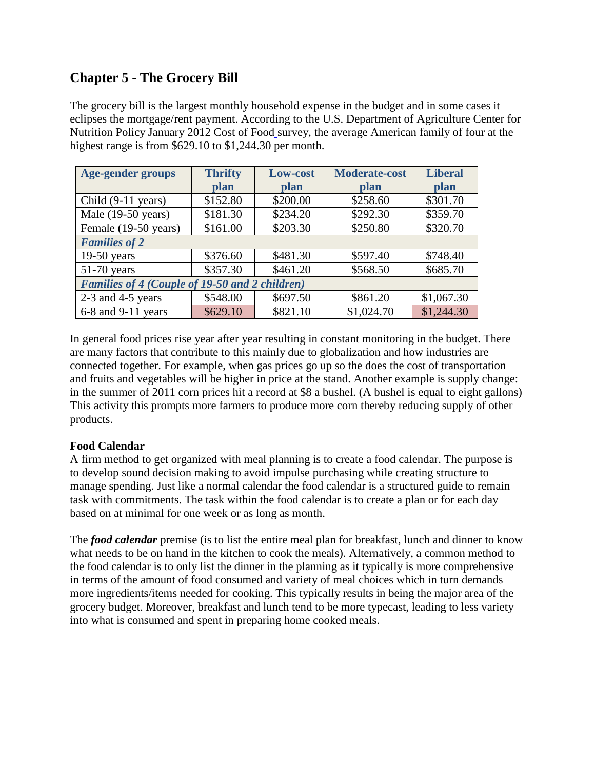# **Chapter 5 - The Grocery Bill**

The grocery bill is the largest monthly household expense in the budget and in some cases it eclipses the mortgage/rent payment. According to the U.S. Department of Agriculture Center for Nutrition Policy January 2012 Cost of Food survey, the average American family of four at the highest range is from \$629.10 to \$1,244.30 per month.

| <b>Age-gender groups</b>                              | <b>Thrifty</b> | Low-cost    | <b>Moderate-cost</b> | <b>Liberal</b> |  |  |  |
|-------------------------------------------------------|----------------|-------------|----------------------|----------------|--|--|--|
|                                                       | plan           | <b>plan</b> | <b>plan</b>          | plan           |  |  |  |
| Child (9-11 years)                                    | \$152.80       | \$200.00    | \$258.60             | \$301.70       |  |  |  |
| Male $(19-50 \text{ years})$                          | \$181.30       | \$234.20    | \$292.30             | \$359.70       |  |  |  |
| Female (19-50 years)                                  | \$161.00       | \$203.30    | \$250.80             | \$320.70       |  |  |  |
| <b>Families of 2</b>                                  |                |             |                      |                |  |  |  |
| $19-50$ years                                         | \$376.60       | \$481.30    | \$597.40             | \$748.40       |  |  |  |
| $51-70$ years                                         | \$357.30       | \$461.20    | \$568.50             | \$685.70       |  |  |  |
| <b>Families of 4 (Couple of 19-50 and 2 children)</b> |                |             |                      |                |  |  |  |
| $2-3$ and $4-5$ years                                 | \$548.00       | \$697.50    | \$861.20             | \$1,067.30     |  |  |  |
| 6-8 and 9-11 years                                    | \$629.10       | \$821.10    | \$1,024.70           | \$1,244.30     |  |  |  |

In general food prices rise year after year resulting in constant monitoring in the budget. There are many factors that contribute to this mainly due to globalization and how industries are connected together. For example, when gas prices go up so the does the cost of transportation and fruits and vegetables will be higher in price at the stand. Another example is supply change: in the summer of 2011 corn prices hit a record at \$8 a bushel. (A bushel is equal to eight gallons) This activity this prompts more farmers to produce more corn thereby reducing supply of other products.

## **Food Calendar**

A firm method to get organized with meal planning is to create a food calendar. The purpose is to develop sound decision making to avoid impulse purchasing while creating structure to manage spending. Just like a normal calendar the food calendar is a structured guide to remain task with commitments. The task within the food calendar is to create a plan or for each day based on at minimal for one week or as long as month.

The *food calendar* premise (is to list the entire meal plan for breakfast, lunch and dinner to know what needs to be on hand in the kitchen to cook the meals). Alternatively, a common method to the food calendar is to only list the dinner in the planning as it typically is more comprehensive in terms of the amount of food consumed and variety of meal choices which in turn demands more ingredients/items needed for cooking. This typically results in being the major area of the grocery budget. Moreover, breakfast and lunch tend to be more typecast, leading to less variety into what is consumed and spent in preparing home cooked meals.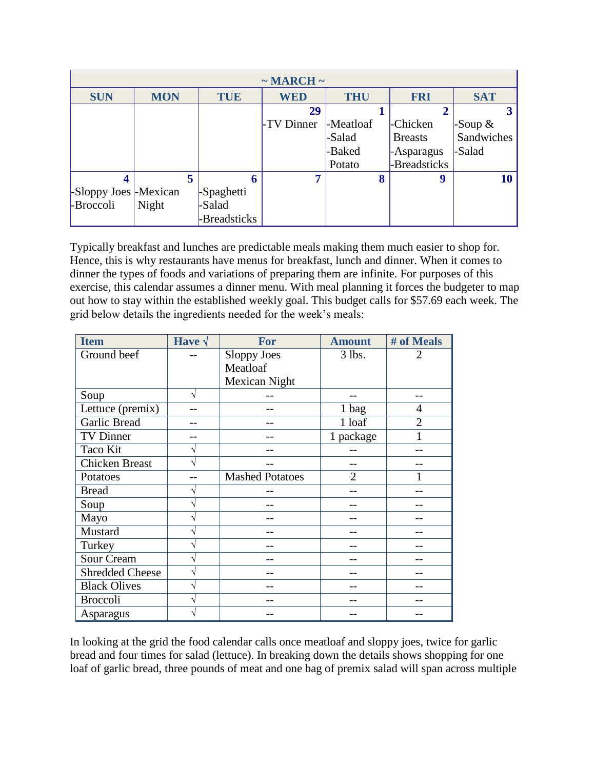| $\sim$ MARCH $\sim$    |            |              |            |            |                |            |  |  |
|------------------------|------------|--------------|------------|------------|----------------|------------|--|--|
| <b>SUN</b>             | <b>MON</b> | <b>TUE</b>   | <b>WED</b> | <b>THU</b> | <b>FRI</b>     | <b>SAT</b> |  |  |
|                        |            |              | 29         |            |                |            |  |  |
|                        |            |              | -TV Dinner | -Meatloaf  | -Chicken       | -Soup $\&$ |  |  |
|                        |            |              |            | -Salad     | <b>Breasts</b> | Sandwiches |  |  |
|                        |            |              |            | -Baked     | -Asparagus     | -Salad     |  |  |
|                        |            |              |            | Potato     | -Breadsticks   |            |  |  |
| 4                      |            | 5<br>n       |            | 8          | 9              | 10         |  |  |
| -Sloppy Joes - Mexican |            | -Spaghetti   |            |            |                |            |  |  |
| -Broccoli              | Night      | -Salad       |            |            |                |            |  |  |
|                        |            | -Breadsticks |            |            |                |            |  |  |

Typically breakfast and lunches are predictable meals making them much easier to shop for. Hence, this is why restaurants have menus for breakfast, lunch and dinner. When it comes to dinner the types of foods and variations of preparing them are infinite. For purposes of this exercise, this calendar assumes a dinner menu. With meal planning it forces the budgeter to map out how to stay within the established weekly goal. This budget calls for \$57.69 each week. The grid below details the ingredients needed for the week's meals:

| <b>Item</b>            | Have $\sqrt$ | For                    | <b>Amount</b>  | # of Meals     |
|------------------------|--------------|------------------------|----------------|----------------|
| Ground beef            |              | Sloppy Joes            | $3$ lbs.       | 2              |
|                        |              | Meatloaf               |                |                |
|                        |              | <b>Mexican Night</b>   |                |                |
| Soup                   | V            |                        |                |                |
| Lettuce (premix)       |              |                        | 1 bag          | 4              |
| Garlic Bread           |              |                        | 1 loaf         | $\overline{2}$ |
| <b>TV Dinner</b>       |              |                        | 1 package      | 1              |
| Taco Kit               | V            |                        |                |                |
| <b>Chicken Breast</b>  | V            |                        |                |                |
| Potatoes               |              | <b>Mashed Potatoes</b> | $\overline{2}$ |                |
| <b>Bread</b>           | V            |                        |                |                |
| Soup                   |              |                        |                |                |
| Mayo                   |              |                        |                |                |
| Mustard                |              |                        |                |                |
| Turkey                 |              |                        |                |                |
| Sour Cream             |              |                        |                |                |
| <b>Shredded Cheese</b> | V            |                        |                |                |
| <b>Black Olives</b>    |              |                        |                |                |
| <b>Broccoli</b>        |              |                        |                |                |
| Asparagus              |              |                        |                |                |

In looking at the grid the food calendar calls once meatloaf and sloppy joes, twice for garlic bread and four times for salad (lettuce). In breaking down the details shows shopping for one loaf of garlic bread, three pounds of meat and one bag of premix salad will span across multiple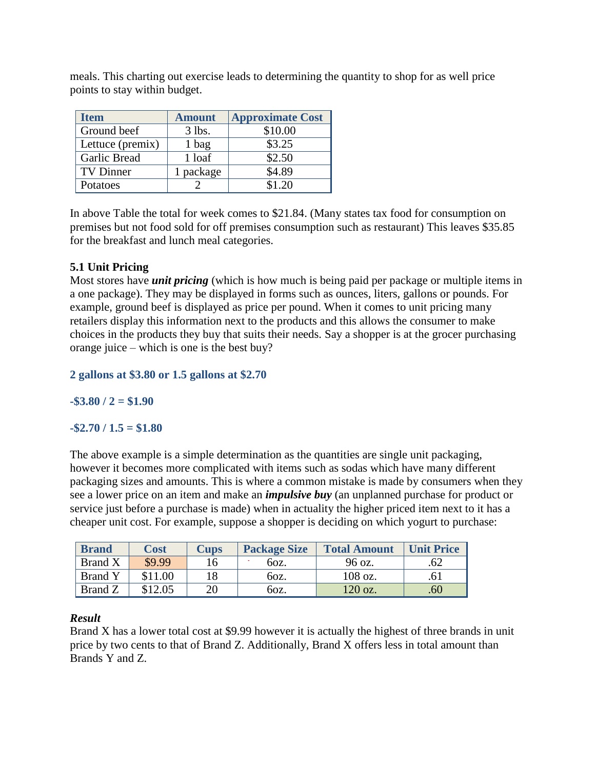**Item Amount Approximate Cost** Ground beef 3 lbs. \$10.00 Lettuce (premix)  $\begin{array}{|c|c|c|} \hline 1 & \text{bag} & \text{ } \end{array}$  \$3.25 Garlic Bread 1 loaf \$2.50 TV Dinner 1 package \$4.89 Potatoes  $\begin{array}{|c|c|c|c|c|c|} \hline 2 & 31.20 \ \hline \end{array}$ 

meals. This charting out exercise leads to determining the quantity to shop for as well price points to stay within budget.

In above Table the total for week comes to \$21.84. (Many states tax food for consumption on premises but not food sold for off premises consumption such as restaurant) This leaves \$35.85 for the breakfast and lunch meal categories.

## **5.1 Unit Pricing**

Most stores have *unit pricing* (which is how much is being paid per package or multiple items in a one package). They may be displayed in forms such as ounces, liters, gallons or pounds. For example, ground beef is displayed as price per pound. When it comes to unit pricing many retailers display this information next to the products and this allows the consumer to make choices in the products they buy that suits their needs. Say a shopper is at the grocer purchasing orange juice – which is one is the best buy?

**2 gallons at \$3.80 or 1.5 gallons at \$2.70**

**-\$3.80 / 2 = \$1.90**

### **-\$2.70 / 1.5 = \$1.80**

The above example is a simple determination as the quantities are single unit packaging, however it becomes more complicated with items such as sodas which have many different packaging sizes and amounts. This is where a common mistake is made by consumers when they see a lower price on an item and make an *impulsive buy* (an unplanned purchase for product or service just before a purchase is made) when in actuality the higher priced item next to it has a cheaper unit cost. For example, suppose a shopper is deciding on which yogurt to purchase:

| <b>Brand</b>   | <b>Cost</b> | <b>Cups</b> | <b>Package Size</b> | <b>Total Amount</b> | <b>Unit Price</b> |
|----------------|-------------|-------------|---------------------|---------------------|-------------------|
| Brand X        | \$9.99      | 16          | 60z.                | 96 oz.              |                   |
| <b>Brand Y</b> | \$11.00     | 18          | 60z.                | $108$ oz.           | .61               |
| Brand Z        | \$12.05     | 20          | 60z.                | 120 oz.             | .60               |

#### *Result*

Brand X has a lower total cost at \$9.99 however it is actually the highest of three brands in unit price by two cents to that of Brand Z. Additionally, Brand X offers less in total amount than Brands Y and Z.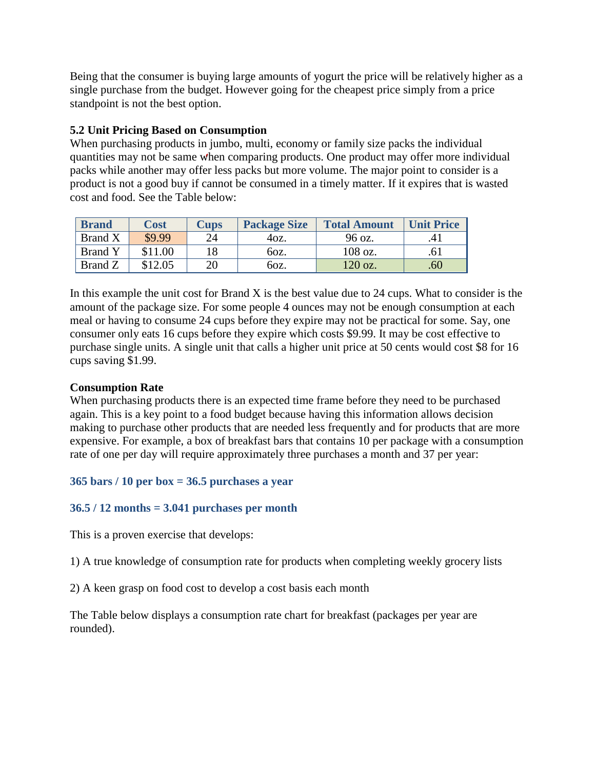Being that the consumer is buying large amounts of yogurt the price will be relatively higher as a single purchase from the budget. However going for the cheapest price simply from a price standpoint is not the best option.

## **5.2 Unit Pricing Based on Consumption**

When purchasing products in jumbo, multi, economy or family size packs the individual quantities may not be same when comparing products. One product may offer more individual packs while another may offer less packs but more volume. The major point to consider is a product is not a good buy if cannot be consumed in a timely matter. If it expires that is wasted cost and food. See the Table below:

| <b>Brand</b>   | <b>Cost</b> | <b>Cups</b> | <b>Package Size</b> | <b>Total Amount</b> | <b>Unit Price</b> |
|----------------|-------------|-------------|---------------------|---------------------|-------------------|
| <b>Brand X</b> | \$9.99      | 24          | 40z.                | 96 oz.              |                   |
| <b>Brand Y</b> | \$11.00     | 18          | 60z.                | 108 oz.             | .61               |
| Brand Z        | \$12.05     | 20          | 60z.                | $120$ oz.           | .60 <sub>1</sub>  |

In this example the unit cost for Brand X is the best value due to  $24$  cups. What to consider is the amount of the package size. For some people 4 ounces may not be enough consumption at each meal or having to consume 24 cups before they expire may not be practical for some. Say, one consumer only eats 16 cups before they expire which costs \$9.99. It may be cost effective to purchase single units. A single unit that calls a higher unit price at 50 cents would cost \$8 for 16 cups saving \$1.99.

## **Consumption Rate**

When purchasing products there is an expected time frame before they need to be purchased again. This is a key point to a food budget because having this information allows decision making to purchase other products that are needed less frequently and for products that are more expensive. For example, a box of breakfast bars that contains 10 per package with a consumption rate of one per day will require approximately three purchases a month and 37 per year:

## **365 bars / 10 per box = 36.5 purchases a year**

## **36.5 / 12 months = 3.041 purchases per month**

This is a proven exercise that develops:

1) A true knowledge of consumption rate for products when completing weekly grocery lists

2) A keen grasp on food cost to develop a cost basis each month

The Table below displays a consumption rate chart for breakfast (packages per year are rounded).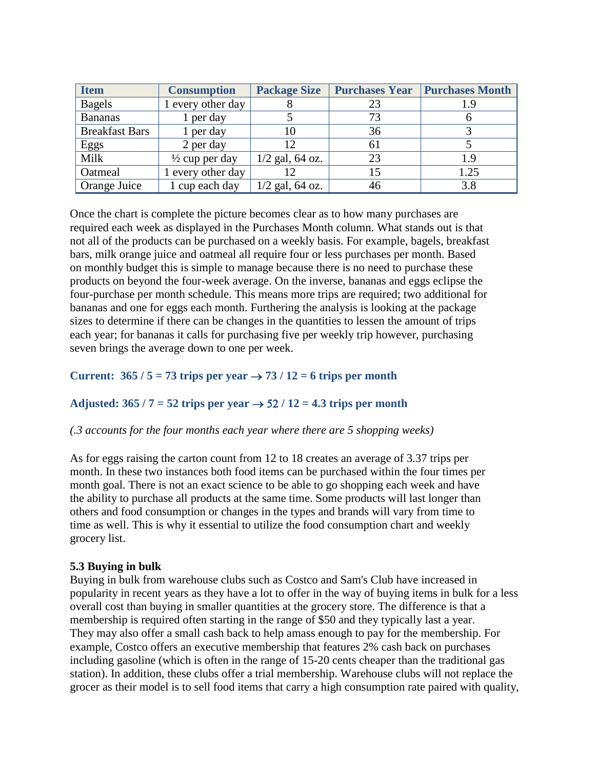| <b>Item</b>           | <b>Consumption</b>        | <b>Package Size</b> |    | <b>Purchases Year   Purchases Month</b> |
|-----------------------|---------------------------|---------------------|----|-----------------------------------------|
| <b>Bagels</b>         | 1 every other day         |                     | 23 | 1.9                                     |
| <b>Bananas</b>        | 1 per day                 |                     | 73 |                                         |
| <b>Breakfast Bars</b> | 1 per day                 | 10                  | 36 |                                         |
| Eggs                  | 2 per day                 | 12                  | 61 |                                         |
| Milk                  | $\frac{1}{2}$ cup per day | $1/2$ gal, 64 oz.   | 23 | 1.9                                     |
| Oatmeal               | 1 every other day         | 12                  | 15 | 1.25                                    |
| Orange Juice          | 1 cup each day            | $1/2$ gal, 64 oz.   | 46 | 3.8                                     |

Once the chart is complete the picture becomes clear as to how many purchases are required each week as displayed in the Purchases Month column. What stands out is that not all of the products can be purchased on a weekly basis. For example, bagels, breakfast bars, milk orange juice and oatmeal all require four or less purchases per month. Based on monthly budget this is simple to manage because there is no need to purchase these products on beyond the four-week average. On the inverse, bananas and eggs eclipse the four-purchase per month schedule. This means more trips are required; two additional for bananas and one for eggs each month. Furthering the analysis is looking at the package sizes to determine if there can be changes in the quantities to lessen the amount of trips each year; for bananas it calls for purchasing five per weekly trip however, purchasing seven brings the average down to one per week.

## **Current:**  $365 / 5 = 73$  trips per year  $\rightarrow$  73 / 12 = 6 trips per month

## Adjusted:  $365 / 7 = 52$  trips per year  $\rightarrow 52 / 12 = 4.3$  trips per month

### *(.3 accounts for the four months each year where there are 5 shopping weeks)*

As for eggs raising the carton count from 12 to 18 creates an average of 3.37 trips per month. In these two instances both food items can be purchased within the four times per month goal. There is not an exact science to be able to go shopping each week and have the ability to purchase all products at the same time. Some products will last longer than others and food consumption or changes in the types and brands will vary from time to time as well. This is why it essential to utilize the food consumption chart and weekly grocery list.

### **5.3 Buying in bulk**

Buying in bulk from warehouse clubs such as Costco and Sam's Club have increased in popularity in recent years as they have a lot to offer in the way of buying items in bulk for a less overall cost than buying in smaller quantities at the grocery store. The difference is that a membership is required often starting in the range of \$50 and they typically last a year. They may also offer a small cash back to help amass enough to pay for the membership. For example, Costco offers an executive membership that features 2% cash back on purchases including gasoline (which is often in the range of 15-20 cents cheaper than the traditional gas station). In addition, these clubs offer a trial membership. Warehouse clubs will not replace the grocer as their model is to sell food items that carry a high consumption rate paired with quality,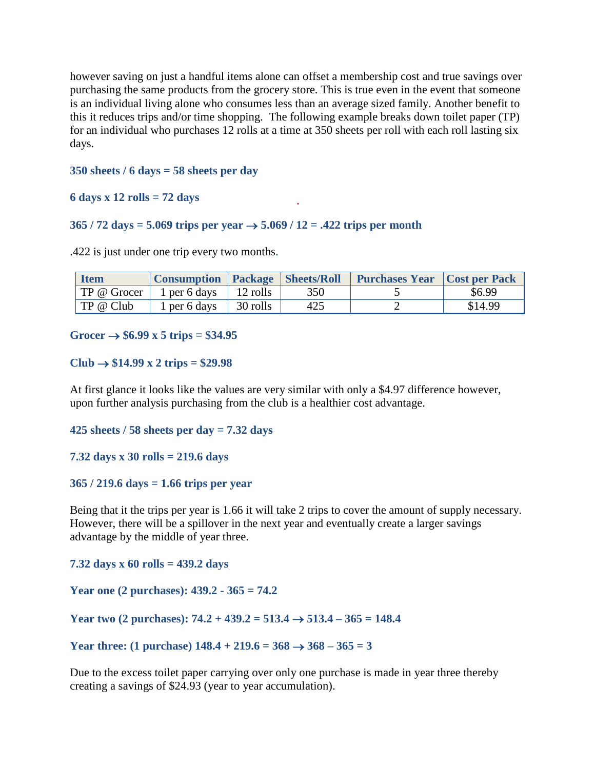however saving on just a handful items alone can offset a membership cost and true savings over purchasing the same products from the grocery store. This is true even in the event that someone is an individual living alone who consumes less than an average sized family. Another benefit to this it reduces trips and/or time shopping. The following example breaks down toilet paper (TP) for an individual who purchases 12 rolls at a time at 350 sheets per roll with each roll lasting six days.

#### **350 sheets / 6 days = 58 sheets per day**

#### **6 days x 12 rolls = 72 days**

#### **365 / 72 days = 5.069 trips per year 5.069 / 12 = .422 trips per month**

.422 is just under one trip every two months.

| <b>Item</b> | <b>Consumption   Package   Sheets/Roll</b> |                      |     | <b>Purchases Year   Cost per Pack</b> |         |
|-------------|--------------------------------------------|----------------------|-----|---------------------------------------|---------|
| TP @ Grocer | 1 per 6 days $\parallel$ 12 rolls          |                      | 350 |                                       | \$6.99  |
| TP @ Club   | 1 per 6 days                               | $\parallel$ 30 rolls | 425 |                                       | \$14.99 |

#### Grocer  $\rightarrow$  \$6.99 x 5 trips = \$34.95

**Club \$14.99 x 2 trips = \$29.98**

At first glance it looks like the values are very similar with only a \$4.97 difference however, upon further analysis purchasing from the club is a healthier cost advantage.

**425 sheets / 58 sheets per day = 7.32 days** 

**7.32 days x 30 rolls = 219.6 days**

#### **365 / 219.6 days = 1.66 trips per year**

Being that it the trips per year is 1.66 it will take 2 trips to cover the amount of supply necessary. However, there will be a spillover in the next year and eventually create a larger savings advantage by the middle of year three.

**7.32 days x 60 rolls = 439.2 days**

**Year one (2 purchases): 439.2 - 365 = 74.2** 

**Year two (2 purchases): 74.2 + 439.2 = 513.4 513.4 – 365 = 148.4**

Year three: (1 purchase)  $148.4 + 219.6 = 368 \rightarrow 368 - 365 = 3$ 

Due to the excess toilet paper carrying over only one purchase is made in year three thereby creating a savings of \$24.93 (year to year accumulation).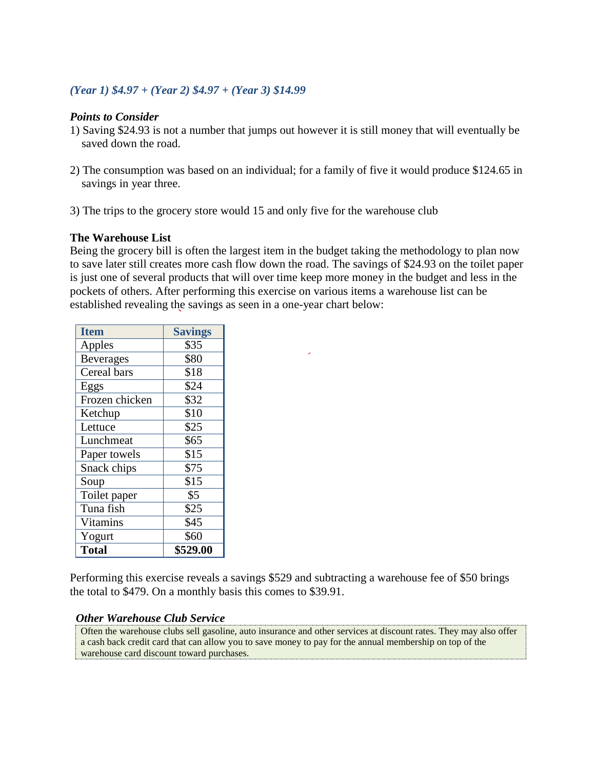## *(Year 1) \$4.97 + (Year 2) \$4.97 + (Year 3) \$14.99*

### *Points to Consider*

- 1) Saving \$24.93 is not a number that jumps out however it is still money that will eventually be saved down the road.
- 2) The consumption was based on an individual; for a family of five it would produce \$124.65 in savings in year three.
- 3) The trips to the grocery store would 15 and only five for the warehouse club

## **The Warehouse List**

Being the grocery bill is often the largest item in the budget taking the methodology to plan now to save later still creates more cash flow down the road. The savings of \$24.93 on the toilet paper is just one of several products that will over time keep more money in the budget and less in the pockets of others. After performing this exercise on various items a warehouse list can be established revealing the savings as seen in a one-year chart below:

| <b>Item</b>      | <b>Savings</b> |
|------------------|----------------|
| Apples           | \$35           |
| <b>Beverages</b> | \$80           |
| Cereal bars      | \$18           |
| Eggs             | \$24           |
| Frozen chicken   | \$32           |
| Ketchup          | \$10           |
| Lettuce          | \$25           |
| Lunchmeat        | \$65           |
| Paper towels     | \$15           |
| Snack chips      | \$75           |
| Soup             | \$15           |
| Toilet paper     | \$5            |
| Tuna fish        | \$25           |
| Vitamins         | \$45           |
| Yogurt           | \$60           |
| <b>Total</b>     | \$529.00       |

Performing this exercise reveals a savings \$529 and subtracting a warehouse fee of \$50 brings the total to \$479. On a monthly basis this comes to \$39.91.

### *Other Warehouse Club Service*

Often the warehouse clubs sell gasoline, auto insurance and other services at discount rates. They may also offer a cash back credit card that can allow you to save money to pay for the annual membership on top of the warehouse card discount toward purchases.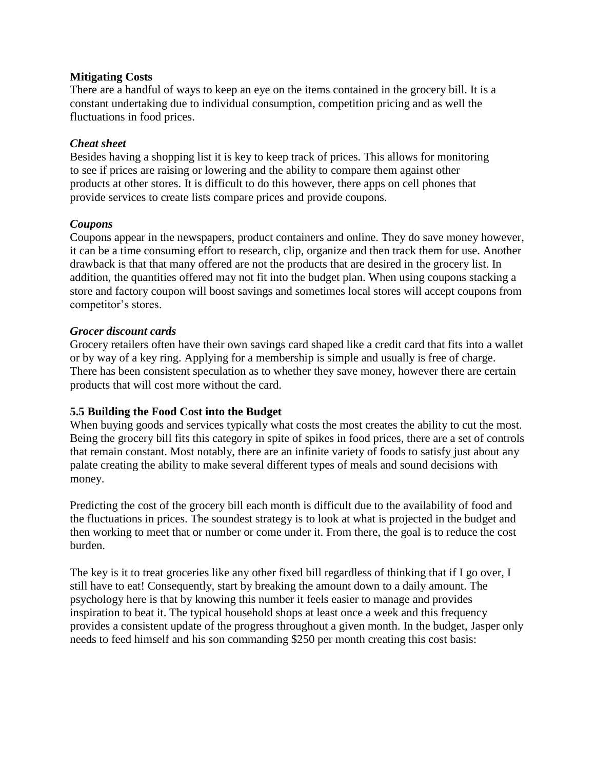### **Mitigating Costs**

There are a handful of ways to keep an eye on the items contained in the grocery bill. It is a constant undertaking due to individual consumption, competition pricing and as well the fluctuations in food prices.

## *Cheat sheet*

Besides having a shopping list it is key to keep track of prices. This allows for monitoring to see if prices are raising or lowering and the ability to compare them against other products at other stores. It is difficult to do this however, there apps on cell phones that provide services to create lists compare prices and provide coupons.

## *Coupons*

Coupons appear in the newspapers, product containers and online. They do save money however, it can be a time consuming effort to research, clip, organize and then track them for use. Another drawback is that that many offered are not the products that are desired in the grocery list. In addition, the quantities offered may not fit into the budget plan. When using coupons stacking a store and factory coupon will boost savings and sometimes local stores will accept coupons from competitor's stores.

## *Grocer discount cards*

Grocery retailers often have their own savings card shaped like a credit card that fits into a wallet or by way of a key ring. Applying for a membership is simple and usually is free of charge. There has been consistent speculation as to whether they save money, however there are certain products that will cost more without the card.

## **5.5 Building the Food Cost into the Budget**

When buying goods and services typically what costs the most creates the ability to cut the most. Being the grocery bill fits this category in spite of spikes in food prices, there are a set of controls that remain constant. Most notably, there are an infinite variety of foods to satisfy just about any palate creating the ability to make several different types of meals and sound decisions with money.

Predicting the cost of the grocery bill each month is difficult due to the availability of food and the fluctuations in prices. The soundest strategy is to look at what is projected in the budget and then working to meet that or number or come under it. From there, the goal is to reduce the cost burden.

The key is it to treat groceries like any other fixed bill regardless of thinking that if I go over, I still have to eat! Consequently, start by breaking the amount down to a daily amount. The psychology here is that by knowing this number it feels easier to manage and provides inspiration to beat it. The typical household shops at least once a week and this frequency provides a consistent update of the progress throughout a given month. In the budget, Jasper only needs to feed himself and his son commanding \$250 per month creating this cost basis: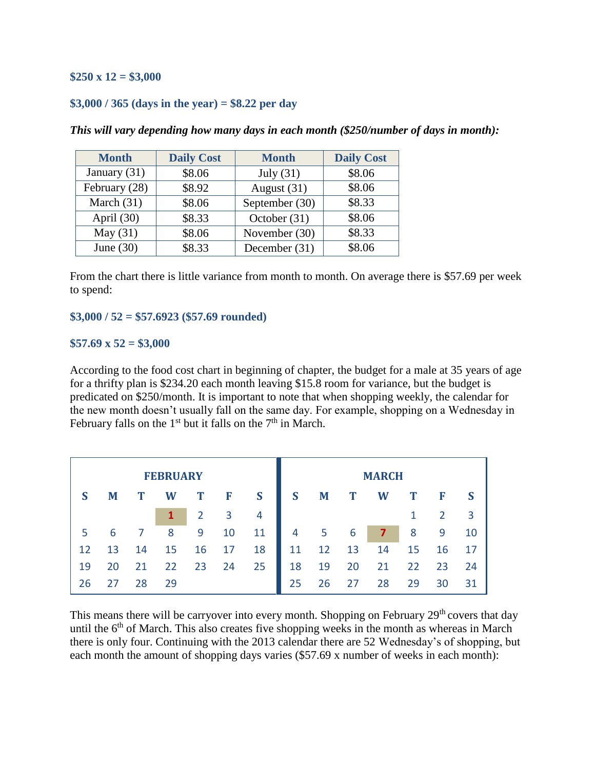## **\$250 x 12 = \$3,000**

### **\$3,000 / 365 (days in the year) = \$8.22 per day**

| <b>Month</b>   | <b>Daily Cost</b> | <b>Month</b>   | <b>Daily Cost</b> |
|----------------|-------------------|----------------|-------------------|
| January $(31)$ | \$8.06            | July $(31)$    | \$8.06            |
| February (28)  | \$8.92            | August (31)    | \$8.06            |
| March $(31)$   | \$8.06            | September (30) | \$8.33            |
| April (30)     | \$8.33            | October (31)   | \$8.06            |
| May $(31)$     | \$8.06            | November (30)  | \$8.33            |
| June $(30)$    | \$8.33            | December (31)  | \$8.06            |

*This will vary depending how many days in each month (\$250/number of days in month):*

From the chart there is little variance from month to month. On average there is \$57.69 per week to spend:

#### **\$3,000 / 52 = \$57.6923 (\$57.69 rounded)**

#### **\$57.69 x 52 = \$3,000**

According to the food cost chart in beginning of chapter, the budget for a male at 35 years of age for a thrifty plan is \$234.20 each month leaving \$15.8 room for variance, but the budget is predicated on \$250/month. It is important to note that when shopping weekly, the calendar for the new month doesn't usually fall on the same day. For example, shopping on a Wednesday in February falls on the 1<sup>st</sup> but it falls on the  $7<sup>th</sup>$  in March.

|    |    |    | <b>FEBRUARY</b> |                |    |                |    |    |    | <b>MARCH</b> |    |    |    |
|----|----|----|-----------------|----------------|----|----------------|----|----|----|--------------|----|----|----|
| S  | M  | T  | W               | T              | F  | S              | S  | M  | T  | W            | T  | F  |    |
|    |    |    |                 | $\overline{2}$ | 3  | $\overline{4}$ |    |    |    |              |    | 2  | 3  |
| 5  | 6  |    | 8               | 9              | 10 | 11             | 4  | 5  | 6  |              | 8  | 9  | 10 |
| 12 | 13 | 14 | 15              | 16             | 17 | 18             | 11 | 12 | 13 | 14           | 15 | 16 | 17 |
| 19 | 20 | 21 | 22              | 23             | 24 | 25             | 18 | 19 | 20 | 21           | 22 | 23 | 24 |
| 26 | 27 | 28 | 29              |                |    |                | 25 | 26 | 27 | 28           | 29 | 30 | 31 |

This means there will be carryover into every month. Shopping on February  $29<sup>th</sup>$  covers that day until the  $6<sup>th</sup>$  of March. This also creates five shopping weeks in the month as whereas in March there is only four. Continuing with the 2013 calendar there are 52 Wednesday's of shopping, but each month the amount of shopping days varies (\$57.69 x number of weeks in each month):